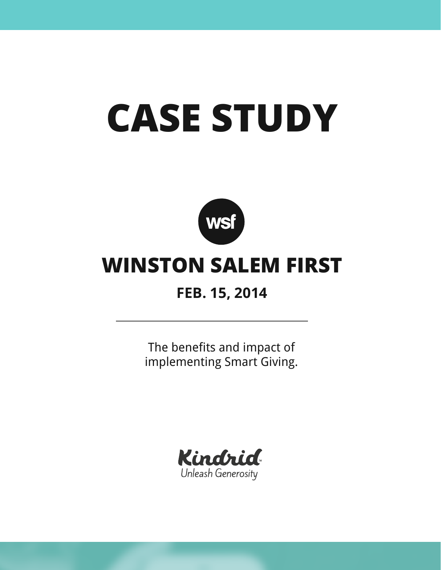# **CASE STUDY**



## **WINSTON SALEM FIRST**

## **FEB. 15, 2014**

The benefits and impact of implementing Smart Giving.

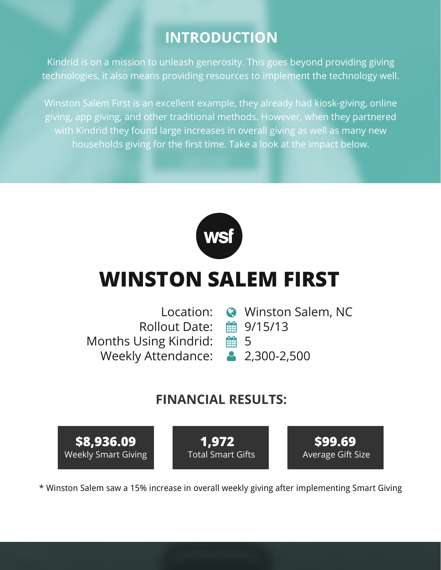#### **INTRODUCTION**

Kindrid is on a mission to unleash generosity. This goes beyond providing giving technologies, it also means providing resources to implement the technology well.

Winston Salem First is an excellent example, they already had kiosk-giving, online giving, app giving, and other traditional methods. However, when they partnered with Kindrid they found large increases in overall giving as well as many new households giving for the first time. Take a look at the impact below.



# **WINSTON SALEM FIRST**

Rollout Date: 9/15/13 Months Using Kindrid: Weekly Attendance:

- Location: Winston Salem, NC
	-
	- 66 1⊞
	- 2,300-2,500

#### **FINANCIAL RESULTS:**



\* Winston Salem saw a 15% increase in overall weekly giving after implementing Smart Giving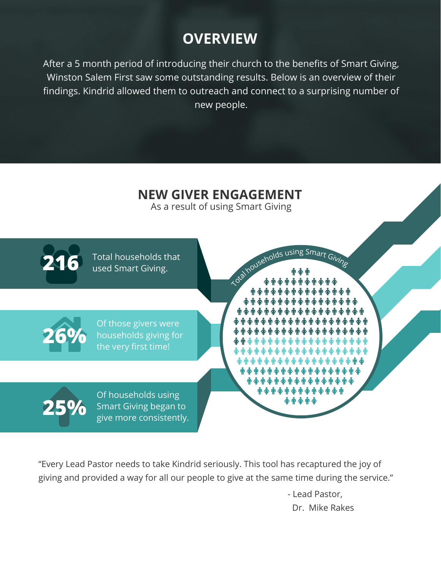## **OVERVIEW**

After a 5 month period of introducing their church to the benefits of Smart Giving, Winston Salem First saw some outstanding results. Below is an overview of their findings. Kindrid allowed them to outreach and connect to a surprising number of new people.



"Every Lead Pastor needs to take Kindrid seriously. This tool has recaptured the joy of giving and provided a way for all our people to give at the same time during the service."

> - Lead Pastor, Dr. Mike Rakes